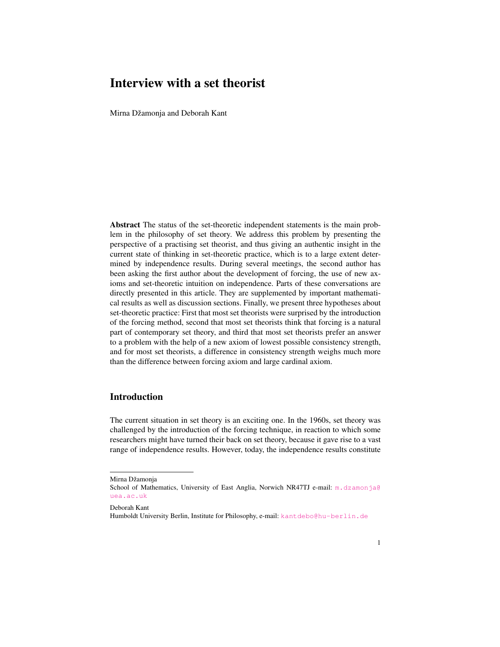Mirna Džamonja and Deborah Kant

Abstract The status of the set-theoretic independent statements is the main problem in the philosophy of set theory. We address this problem by presenting the perspective of a practising set theorist, and thus giving an authentic insight in the current state of thinking in set-theoretic practice, which is to a large extent determined by independence results. During several meetings, the second author has been asking the first author about the development of forcing, the use of new axioms and set-theoretic intuition on independence. Parts of these conversations are directly presented in this article. They are supplemented by important mathematical results as well as discussion sections. Finally, we present three hypotheses about set-theoretic practice: First that most set theorists were surprised by the introduction of the forcing method, second that most set theorists think that forcing is a natural part of contemporary set theory, and third that most set theorists prefer an answer to a problem with the help of a new axiom of lowest possible consistency strength, and for most set theorists, a difference in consistency strength weighs much more than the difference between forcing axiom and large cardinal axiom.

## Introduction

The current situation in set theory is an exciting one. In the 1960s, set theory was challenged by the introduction of the forcing technique, in reaction to which some researchers might have turned their back on set theory, because it gave rise to a vast range of independence results. However, today, the independence results constitute

Mirna Džamonja

School of Mathematics, University of East Anglia, Norwich NR47TJ e-mail: [m.dzamonja@](m.dzamonja@uea.ac.uk) [uea.ac.uk](m.dzamonja@uea.ac.uk)

Deborah Kant

Humboldt University Berlin, Institute for Philosophy, e-mail: <kantdebo@hu-berlin.de>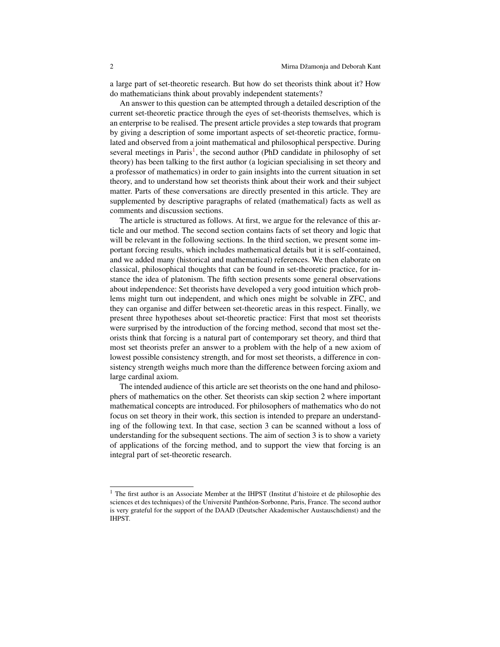a large part of set-theoretic research. But how do set theorists think about it? How do mathematicians think about provably independent statements?

An answer to this question can be attempted through a detailed description of the current set-theoretic practice through the eyes of set-theorists themselves, which is an enterprise to be realised. The present article provides a step towards that program by giving a description of some important aspects of set-theoretic practice, formulated and observed from a joint mathematical and philosophical perspective. During several meetings in Paris<sup>[1](#page-1-0)</sup>, the second author (PhD candidate in philosophy of set theory) has been talking to the first author (a logician specialising in set theory and a professor of mathematics) in order to gain insights into the current situation in set theory, and to understand how set theorists think about their work and their subject matter. Parts of these conversations are directly presented in this article. They are supplemented by descriptive paragraphs of related (mathematical) facts as well as comments and discussion sections.

The article is structured as follows. At first, we argue for the relevance of this article and our method. The second section contains facts of set theory and logic that will be relevant in the following sections. In the third section, we present some important forcing results, which includes mathematical details but it is self-contained, and we added many (historical and mathematical) references. We then elaborate on classical, philosophical thoughts that can be found in set-theoretic practice, for instance the idea of platonism. The fifth section presents some general observations about independence: Set theorists have developed a very good intuition which problems might turn out independent, and which ones might be solvable in ZFC, and they can organise and differ between set-theoretic areas in this respect. Finally, we present three hypotheses about set-theoretic practice: First that most set theorists were surprised by the introduction of the forcing method, second that most set theorists think that forcing is a natural part of contemporary set theory, and third that most set theorists prefer an answer to a problem with the help of a new axiom of lowest possible consistency strength, and for most set theorists, a difference in consistency strength weighs much more than the difference between forcing axiom and large cardinal axiom.

The intended audience of this article are set theorists on the one hand and philosophers of mathematics on the other. Set theorists can skip section 2 where important mathematical concepts are introduced. For philosophers of mathematics who do not focus on set theory in their work, this section is intended to prepare an understanding of the following text. In that case, section 3 can be scanned without a loss of understanding for the subsequent sections. The aim of section 3 is to show a variety of applications of the forcing method, and to support the view that forcing is an integral part of set-theoretic research.

<span id="page-1-0"></span><sup>&</sup>lt;sup>1</sup> The first author is an Associate Member at the IHPST (Institut d'histoire et de philosophie des sciences et des techniques) of the Université Panthéon-Sorbonne, Paris, France. The second author is very grateful for the support of the DAAD (Deutscher Akademischer Austauschdienst) and the IHPST.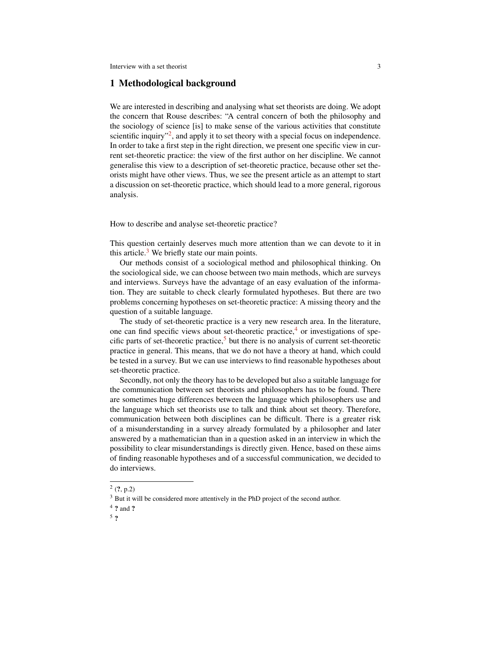## 1 Methodological background

We are interested in describing and analysing what set theorists are doing. We adopt the concern that Rouse describes: "A central concern of both the philosophy and the sociology of science [is] to make sense of the various activities that constitute scientific inquiry"<sup>[2](#page-2-0)</sup>, and apply it to set theory with a special focus on independence. In order to take a first step in the right direction, we present one specific view in current set-theoretic practice: the view of the first author on her discipline. We cannot generalise this view to a description of set-theoretic practice, because other set theorists might have other views. Thus, we see the present article as an attempt to start a discussion on set-theoretic practice, which should lead to a more general, rigorous analysis.

How to describe and analyse set-theoretic practice?

This question certainly deserves much more attention than we can devote to it in this article. $3$  We briefly state our main points.

Our methods consist of a sociological method and philosophical thinking. On the sociological side, we can choose between two main methods, which are surveys and interviews. Surveys have the advantage of an easy evaluation of the information. They are suitable to check clearly formulated hypotheses. But there are two problems concerning hypotheses on set-theoretic practice: A missing theory and the question of a suitable language.

The study of set-theoretic practice is a very new research area. In the literature, one can find specific views about set-theoretic practice, $4$  or investigations of spe-cific parts of set-theoretic practice,<sup>[5](#page-2-3)</sup> but there is no analysis of current set-theoretic practice in general. This means, that we do not have a theory at hand, which could be tested in a survey. But we can use interviews to find reasonable hypotheses about set-theoretic practice.

Secondly, not only the theory has to be developed but also a suitable language for the communication between set theorists and philosophers has to be found. There are sometimes huge differences between the language which philosophers use and the language which set theorists use to talk and think about set theory. Therefore, communication between both disciplines can be difficult. There is a greater risk of a misunderstanding in a survey already formulated by a philosopher and later answered by a mathematician than in a question asked in an interview in which the possibility to clear misunderstandings is directly given. Hence, based on these aims of finding reasonable hypotheses and of a successful communication, we decided to do interviews.

<span id="page-2-0"></span> $2$  (?, p.2)

<span id="page-2-1"></span><sup>&</sup>lt;sup>3</sup> But it will be considered more attentively in the PhD project of the second author.

<span id="page-2-2"></span> $4$  ? and ?

<span id="page-2-3"></span><sup>5</sup> ?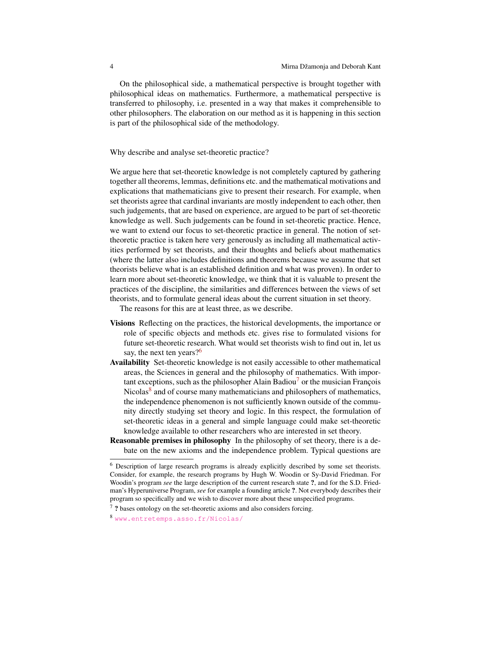On the philosophical side, a mathematical perspective is brought together with philosophical ideas on mathematics. Furthermore, a mathematical perspective is transferred to philosophy, i.e. presented in a way that makes it comprehensible to other philosophers. The elaboration on our method as it is happening in this section is part of the philosophical side of the methodology.

#### Why describe and analyse set-theoretic practice?

We argue here that set-theoretic knowledge is not completely captured by gathering together all theorems, lemmas, definitions etc. and the mathematical motivations and explications that mathematicians give to present their research. For example, when set theorists agree that cardinal invariants are mostly independent to each other, then such judgements, that are based on experience, are argued to be part of set-theoretic knowledge as well. Such judgements can be found in set-theoretic practice. Hence, we want to extend our focus to set-theoretic practice in general. The notion of settheoretic practice is taken here very generously as including all mathematical activities performed by set theorists, and their thoughts and beliefs about mathematics (where the latter also includes definitions and theorems because we assume that set theorists believe what is an established definition and what was proven). In order to learn more about set-theoretic knowledge, we think that it is valuable to present the practices of the discipline, the similarities and differences between the views of set theorists, and to formulate general ideas about the current situation in set theory.

The reasons for this are at least three, as we describe.

- Visions Reflecting on the practices, the historical developments, the importance or role of specific objects and methods etc. gives rise to formulated visions for future set-theoretic research. What would set theorists wish to find out in, let us say, the next ten years? $6^{\circ}$  $6^{\circ}$
- Availability Set-theoretic knowledge is not easily accessible to other mathematical areas, the Sciences in general and the philosophy of mathematics. With impor-tant exceptions, such as the philosopher Alain Badiou<sup>[7](#page-3-1)</sup> or the musician François Nicolas<sup>[8](#page-3-2)</sup> and of course many mathematicians and philosophers of mathematics, the independence phenomenon is not sufficiently known outside of the community directly studying set theory and logic. In this respect, the formulation of set-theoretic ideas in a general and simple language could make set-theoretic knowledge available to other researchers who are interested in set theory.
- Reasonable premises in philosophy In the philosophy of set theory, there is a debate on the new axioms and the independence problem. Typical questions are

<span id="page-3-0"></span><sup>6</sup> Description of large research programs is already explicitly described by some set theorists. Consider, for example, the research programs by Hugh W. Woodin or Sy-David Friedman. For Woodin's program *see* the large description of the current research state ?, and for the S.D. Friedman's Hyperuniverse Program, *see* for example a founding article ?. Not everybody describes their program so specifically and we wish to discover more about these unspecified programs.

<span id="page-3-1"></span><sup>7</sup> ? bases ontology on the set-theoretic axioms and also considers forcing.

<span id="page-3-2"></span><sup>8</sup> <www.entretemps.asso.fr/Nicolas/>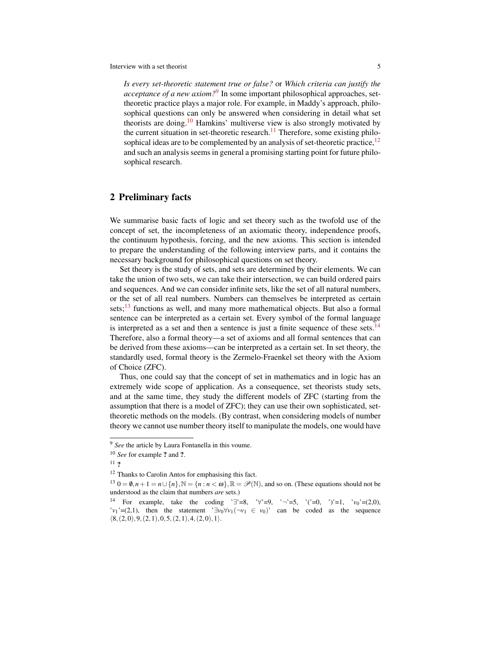*Is every set-theoretic statement true or false?* or *Which criteria can justify the acceptance of a new axiom?*[9](#page-4-0) In some important philosophical approaches, settheoretic practice plays a major role. For example, in Maddy's approach, philosophical questions can only be answered when considering in detail what set theorists are doing.<sup>[10](#page-4-1)</sup> Hamkins' multiverse view is also strongly motivated by the current situation in set-theoretic research.<sup>[11](#page-4-2)</sup> Therefore, some existing philosophical ideas are to be complemented by an analysis of set-theoretic practice, $12$ and such an analysis seems in general a promising starting point for future philosophical research.

## 2 Preliminary facts

We summarise basic facts of logic and set theory such as the twofold use of the concept of set, the incompleteness of an axiomatic theory, independence proofs, the continuum hypothesis, forcing, and the new axioms. This section is intended to prepare the understanding of the following interview parts, and it contains the necessary background for philosophical questions on set theory.

Set theory is the study of sets, and sets are determined by their elements. We can take the union of two sets, we can take their intersection, we can build ordered pairs and sequences. And we can consider infinite sets, like the set of all natural numbers, or the set of all real numbers. Numbers can themselves be interpreted as certain sets; $\frac{13}{13}$  $\frac{13}{13}$  $\frac{13}{13}$  functions as well, and many more mathematical objects. But also a formal sentence can be interpreted as a certain set. Every symbol of the formal language is interpreted as a set and then a sentence is just a finite sequence of these sets.<sup>[14](#page-4-5)</sup> Therefore, also a formal theory—a set of axioms and all formal sentences that can be derived from these axioms—can be interpreted as a certain set. In set theory, the standardly used, formal theory is the Zermelo-Fraenkel set theory with the Axiom of Choice (ZFC).

Thus, one could say that the concept of set in mathematics and in logic has an extremely wide scope of application. As a consequence, set theorists study sets, and at the same time, they study the different models of ZFC (starting from the assumption that there is a model of ZFC); they can use their own sophisticated, settheoretic methods on the models. (By contrast, when considering models of number theory we cannot use number theory itself to manipulate the models, one would have

<span id="page-4-0"></span><sup>9</sup> *See* the article by Laura Fontanella in this voume.

<span id="page-4-1"></span><sup>10</sup> *See* for example ? and ?.

<span id="page-4-2"></span><sup>11</sup> ?

<span id="page-4-3"></span><sup>12</sup> Thanks to Carolin Antos for emphasising this fact.

<span id="page-4-4"></span><sup>&</sup>lt;sup>13</sup> 0 =  $\emptyset$ , *n* + 1 = *n*  $\cup$  {*n*}, N = {*n* : *n* <  $\omega$ }, R =  $\mathcal{P}(\mathbb{N})$ , and so on. (These equations should not be understood as the claim that numbers *are* sets.)

<span id="page-4-5"></span><sup>14</sup> For example, take the coding ' $\exists$ '=8, ' $\forall$ '=9, ' $\neg$ '=5, '('=0, ')'=1, ' $v_0$ '=(2,0), '*v*<sub>1</sub>'=(2,1), then the statement ' $\exists v_0 \forall v_1 (\neg v_1 \in v_0)$ ' can be coded as the sequence  $\langle 8,(2,0),9,(2,1),0,5,(2,1),4,(2,0),1 \rangle.$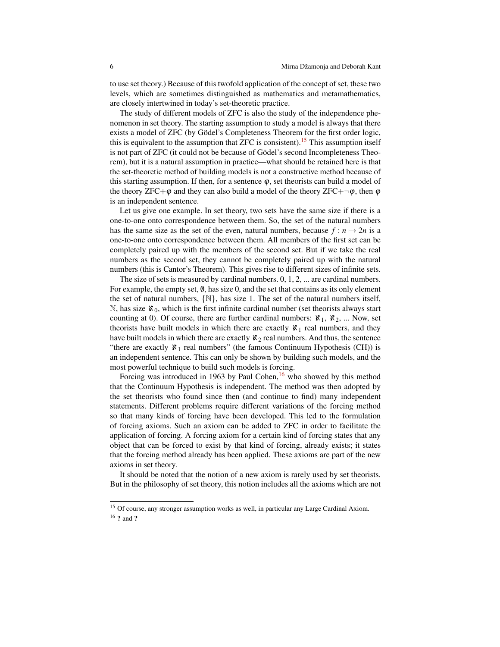to use set theory.) Because of this twofold application of the concept of set, these two levels, which are sometimes distinguished as mathematics and metamathematics, are closely intertwined in today's set-theoretic practice.

The study of different models of ZFC is also the study of the independence phenomenon in set theory. The starting assumption to study a model is always that there exists a model of ZFC (by Gödel's Completeness Theorem for the first order logic, this is equivalent to the assumption that ZFC is consistent).<sup>[15](#page-5-0)</sup> This assumption itself is not part of ZFC (it could not be because of Gödel's second Incompleteness Theorem), but it is a natural assumption in practice—what should be retained here is that the set-theoretic method of building models is not a constructive method because of this starting assumption. If then, for a sentence  $\varphi$ , set theorists can build a model of the theory ZFC+ $\varphi$  and they can also build a model of the theory ZFC+ $\neg \varphi$ , then  $\varphi$ is an independent sentence.

Let us give one example. In set theory, two sets have the same size if there is a one-to-one onto correspondence between them. So, the set of the natural numbers has the same size as the set of the even, natural numbers, because  $f : n \mapsto 2n$  is a one-to-one onto correspondence between them. All members of the first set can be completely paired up with the members of the second set. But if we take the real numbers as the second set, they cannot be completely paired up with the natural numbers (this is Cantor's Theorem). This gives rise to different sizes of infinite sets.

The size of sets is measured by cardinal numbers. 0, 1, 2, ... are cardinal numbers. For example, the empty set,  $\emptyset$ , has size 0, and the set that contains as its only element the set of natural numbers,  $\{N\}$ , has size 1. The set of the natural numbers itself, N, has size  $\aleph_0$ , which is the first infinite cardinal number (set theorists always start counting at 0). Of course, there are further cardinal numbers:  $\mathbf{\tilde{x}}_1$ ,  $\mathbf{\tilde{x}}_2$ , ... Now, set theorists have built models in which there are exactly  $\mathbf{x}_1$  real numbers, and they have built models in which there are exactly  $\aleph_2$  real numbers. And thus, the sentence "there are exactly  $\mathbf{x}_1$  real numbers" (the famous Continuum Hypothesis (CH)) is an independent sentence. This can only be shown by building such models, and the most powerful technique to build such models is forcing.

Forcing was introduced in 1963 by Paul Cohen,<sup>[16](#page-5-1)</sup> who showed by this method that the Continuum Hypothesis is independent. The method was then adopted by the set theorists who found since then (and continue to find) many independent statements. Different problems require different variations of the forcing method so that many kinds of forcing have been developed. This led to the formulation of forcing axioms. Such an axiom can be added to ZFC in order to facilitate the application of forcing. A forcing axiom for a certain kind of forcing states that any object that can be forced to exist by that kind of forcing, already exists; it states that the forcing method already has been applied. These axioms are part of the new axioms in set theory.

It should be noted that the notion of a new axiom is rarely used by set theorists. But in the philosophy of set theory, this notion includes all the axioms which are not

<span id="page-5-1"></span><span id="page-5-0"></span><sup>&</sup>lt;sup>15</sup> Of course, any stronger assumption works as well, in particular any Large Cardinal Axiom.  $16$  ? and ?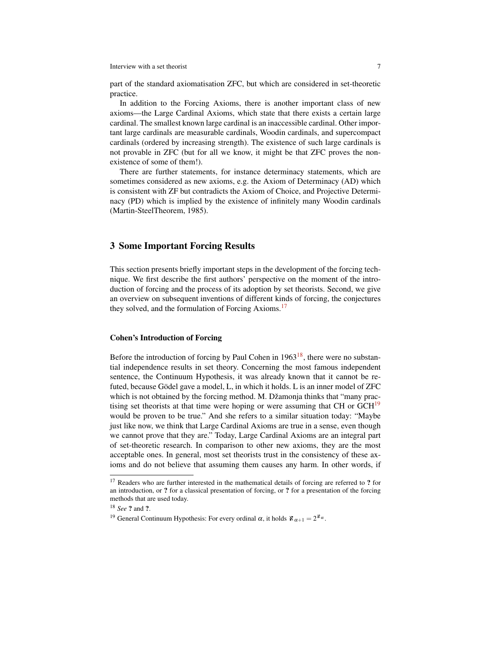part of the standard axiomatisation ZFC, but which are considered in set-theoretic practice.

In addition to the Forcing Axioms, there is another important class of new axioms—the Large Cardinal Axioms, which state that there exists a certain large cardinal. The smallest known large cardinal is an inaccessible cardinal. Other important large cardinals are measurable cardinals, Woodin cardinals, and supercompact cardinals (ordered by increasing strength). The existence of such large cardinals is not provable in ZFC (but for all we know, it might be that ZFC proves the nonexistence of some of them!).

There are further statements, for instance determinacy statements, which are sometimes considered as new axioms, e.g. the Axiom of Determinacy (AD) which is consistent with ZF but contradicts the Axiom of Choice, and Projective Determinacy (PD) which is implied by the existence of infinitely many Woodin cardinals (Martin-SteelTheorem, 1985).

## 3 Some Important Forcing Results

This section presents briefly important steps in the development of the forcing technique. We first describe the first authors' perspective on the moment of the introduction of forcing and the process of its adoption by set theorists. Second, we give an overview on subsequent inventions of different kinds of forcing, the conjectures they solved, and the formulation of Forcing Axioms.<sup>[17](#page-6-0)</sup>

#### Cohen's Introduction of Forcing

Before the introduction of forcing by Paul Cohen in  $1963^{18}$  $1963^{18}$  $1963^{18}$ , there were no substantial independence results in set theory. Concerning the most famous independent sentence, the Continuum Hypothesis, it was already known that it cannot be refuted, because Gödel gave a model, L, in which it holds. L is an inner model of ZFC which is not obtained by the forcing method. M. Džamonja thinks that "many practising set theorists at that time were hoping or were assuming that CH or  $GCH<sup>19</sup>$  $GCH<sup>19</sup>$  $GCH<sup>19</sup>$ would be proven to be true." And she refers to a similar situation today: "Maybe just like now, we think that Large Cardinal Axioms are true in a sense, even though we cannot prove that they are." Today, Large Cardinal Axioms are an integral part of set-theoretic research. In comparison to other new axioms, they are the most acceptable ones. In general, most set theorists trust in the consistency of these axioms and do not believe that assuming them causes any harm. In other words, if

<span id="page-6-0"></span><sup>&</sup>lt;sup>17</sup> Readers who are further interested in the mathematical details of forcing are referred to ? for an introduction, or ? for a classical presentation of forcing, or ? for a presentation of the forcing methods that are used today.

<span id="page-6-1"></span><sup>18</sup> *See* ? and ?.

<span id="page-6-2"></span><sup>&</sup>lt;sup>19</sup> General Continuum Hypothesis: For every ordinal  $\alpha$ , it holds  $\aleph_{\alpha+1} = 2^{\aleph_{\alpha}}$ .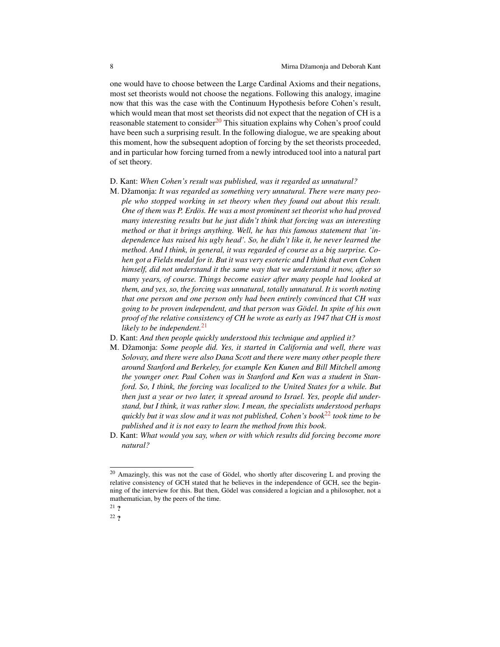one would have to choose between the Large Cardinal Axioms and their negations, most set theorists would not choose the negations. Following this analogy, imagine now that this was the case with the Continuum Hypothesis before Cohen's result, which would mean that most set theorists did not expect that the negation of CH is a reasonable statement to consider<sup>[20](#page-7-0)</sup> This situation explains why Cohen's proof could have been such a surprising result. In the following dialogue, we are speaking about this moment, how the subsequent adoption of forcing by the set theorists proceeded, and in particular how forcing turned from a newly introduced tool into a natural part of set theory.

- D. Kant: *When Cohen's result was published, was it regarded as unnatural?*
- M. Džamonja: *It was regarded as something very unnatural. There were many people who stopped working in set theory when they found out about this result. One of them was P. Erdös. He was a most prominent set theorist who had proved many interesting results but he just didn't think that forcing was an interesting method or that it brings anything. Well, he has this famous statement that 'independence has raised his ugly head'. So, he didn't like it, he never learned the method. And I think, in general, it was regarded of course as a big surprise. Cohen got a Fields medal for it. But it was very esoteric and I think that even Cohen himself, did not understand it the same way that we understand it now, after so many years, of course. Things become easier after many people had looked at them, and yes, so, the forcing was unnatural, totally unnatural. It is worth noting that one person and one person only had been entirely convinced that CH was going to be proven independent, and that person was Gödel. In spite of his own proof of the relative consistency of CH he wrote as early as 1947 that CH is most likely to be independent.*[21](#page-7-1)
- D. Kant: *And then people quickly understood this technique and applied it?*
- M. Džamonja: *Some people did. Yes, it started in California and well, there was Solovay, and there were also Dana Scott and there were many other people there around Stanford and Berkeley, for example Ken Kunen and Bill Mitchell among the younger oner. Paul Cohen was in Stanford and Ken was a student in Stanford. So, I think, the forcing was localized to the United States for a while. But then just a year or two later, it spread around to Israel. Yes, people did understand, but I think, it was rather slow. I mean, the specialists understood perhaps quickly but it was slow and it was not published, Cohen's book*[22](#page-7-2) *took time to be published and it is not easy to learn the method from this book.*
- D. Kant: *What would you say, when or with which results did forcing become more natural?*

<span id="page-7-2"></span><sup>22</sup> ?

<span id="page-7-0"></span><sup>&</sup>lt;sup>20</sup> Amazingly, this was not the case of Gödel, who shortly after discovering L and proving the relative consistency of GCH stated that he believes in the independence of GCH, see the beginning of the interview for this. But then, Gödel was considered a logician and a philosopher, not a mathematician, by the peers of the time.

<span id="page-7-1"></span><sup>21</sup> ?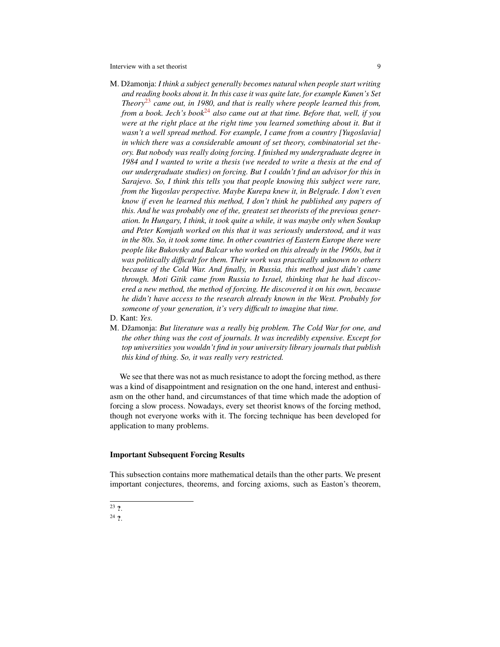- M. Džamonja: *I think a subject generally becomes natural when people start writing and reading books about it. In this case it was quite late, for example Kunen's Set Theory*[23](#page-8-0) *came out, in 1980, and that is really where people learned this from, from a book. Jech's book*[24](#page-8-1) *also came out at that time. Before that, well, if you were at the right place at the right time you learned something about it. But it wasn't a well spread method. For example, I came from a country [Yugoslavia] in which there was a considerable amount of set theory, combinatorial set theory. But nobody was really doing forcing. I finished my undergraduate degree in 1984 and I wanted to write a thesis (we needed to write a thesis at the end of our undergraduate studies) on forcing. But I couldn't find an advisor for this in Sarajevo. So, I think this tells you that people knowing this subject were rare, from the Yugoslav perspective. Maybe Kurepa knew it, in Belgrade. I don't even know if even he learned this method, I don't think he published any papers of this. And he was probably one of the, greatest set theorists of the previous generation. In Hungary, I think, it took quite a while, it was maybe only when Soukup and Peter Komjath worked on this that it was seriously understood, and it was in the 80s. So, it took some time. In other countries of Eastern Europe there were people like Bukovsky and Balcar who worked on this already in the 1960s, but it was politically difficult for them. Their work was practically unknown to others because of the Cold War. And finally, in Russia, this method just didn't came through. Moti Gitik came from Russia to Israel, thinking that he had discovered a new method, the method of forcing. He discovered it on his own, because he didn't have access to the research already known in the West. Probably for someone of your generation, it's very difficult to imagine that time.*
- D. Kant: *Yes.*
- M. Džamonja: *But literature was a really big problem. The Cold War for one, and the other thing was the cost of journals. It was incredibly expensive. Except for top universities you wouldn't find in your university library journals that publish this kind of thing. So, it was really very restricted.*

We see that there was not as much resistance to adopt the forcing method, as there was a kind of disappointment and resignation on the one hand, interest and enthusiasm on the other hand, and circumstances of that time which made the adoption of forcing a slow process. Nowadays, every set theorist knows of the forcing method, though not everyone works with it. The forcing technique has been developed for application to many problems.

#### Important Subsequent Forcing Results

This subsection contains more mathematical details than the other parts. We present important conjectures, theorems, and forcing axioms, such as Easton's theorem,

<span id="page-8-0"></span> $23 \frac{1}{2}$ .

<span id="page-8-1"></span> $24$  ?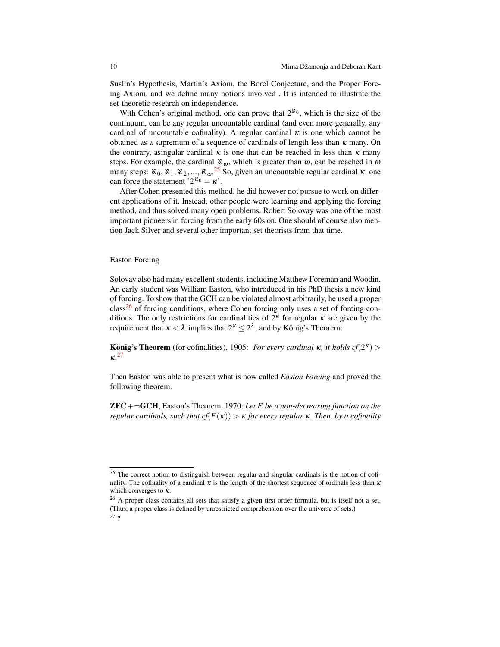Suslin's Hypothesis, Martin's Axiom, the Borel Conjecture, and the Proper Forcing Axiom, and we define many notions involved . It is intended to illustrate the set-theoretic research on independence.

With Cohen's original method, one can prove that  $2^{\aleph_0}$ , which is the size of the continuum, can be any regular uncountable cardinal (and even more generally, any cardinal of uncountable cofinality). A regular cardinal  $\kappa$  is one which cannot be obtained as a supremum of a sequence of cardinals of length less than  $\kappa$  many. On the contrary, asingular cardinal  $\kappa$  is one that can be reached in less than  $\kappa$  many steps. For example, the cardinal  $\aleph_{\omega}$ , which is greater than  $\omega$ , can be reached in  $\omega$ many steps:  $\mathbf{x}_0, \mathbf{x}_1, \mathbf{x}_2, ..., \mathbf{x}_{\omega}$ .<sup>[25](#page-9-0)</sup> So, given an uncountable regular cardinal  $\kappa$ , one can force the statement ' $2\tilde{x}_0 = \kappa$ '.

After Cohen presented this method, he did however not pursue to work on different applications of it. Instead, other people were learning and applying the forcing method, and thus solved many open problems. Robert Solovay was one of the most important pioneers in forcing from the early 60s on. One should of course also mention Jack Silver and several other important set theorists from that time.

#### Easton Forcing

Solovay also had many excellent students, including Matthew Foreman and Woodin. An early student was William Easton, who introduced in his PhD thesis a new kind of forcing. To show that the GCH can be violated almost arbitrarily, he used a proper class<sup>[26](#page-9-1)</sup> of forcing conditions, where Cohen forcing only uses a set of forcing conditions. The only restrictions for cardinalities of  $2<sup>\kappa</sup>$  for regular  $\kappa$  are given by the requirement that  $\kappa < \lambda$  implies that  $2^{\kappa} \leq 2^{\lambda}$ , and by König's Theorem:

**König's Theorem** (for cofinalities), 1905: *For every cardinal* **κ**, it holds  $cf(2^k)$  > κ*.* [27](#page-9-2)

Then Easton was able to present what is now called *Easton Forcing* and proved the following theorem.

**ZFC**  $+ \neg$ **GCH**, Easton's Theorem, 1970: Let F be a non-decreasing function on the *regular cardinals, such that cf*(*F*(κ)) > κ *for every regular* κ*. Then, by a cofinality*

<span id="page-9-0"></span><sup>&</sup>lt;sup>25</sup> The correct notion to distinguish between regular and singular cardinals is the notion of cofinality. The cofinality of a cardinal  $\kappa$  is the length of the shortest sequence of ordinals less than  $\kappa$ which converges to  $\kappa$ .

<span id="page-9-2"></span><span id="page-9-1"></span><sup>&</sup>lt;sup>26</sup> A proper class contains all sets that satisfy a given first order formula, but is itself not a set. (Thus, a proper class is defined by unrestricted comprehension over the universe of sets.) <sup>27</sup> ?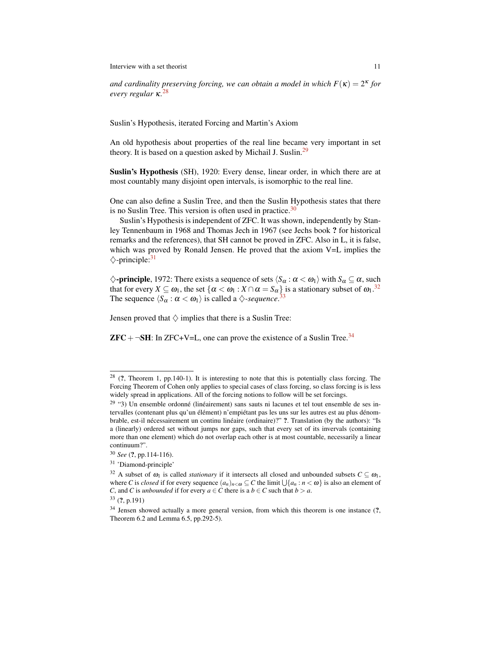*and cardinality preserving forcing, we can obtain a model in which F*(κ) = 2 κ *for every regular* κ*.* [28](#page-10-0)

Suslin's Hypothesis, iterated Forcing and Martin's Axiom

An old hypothesis about properties of the real line became very important in set theory. It is based on a question asked by Michail J. Suslin.<sup>[29](#page-10-1)</sup>

Suslin's Hypothesis (SH), 1920: Every dense, linear order, in which there are at most countably many disjoint open intervals, is isomorphic to the real line.

One can also define a Suslin Tree, and then the Suslin Hypothesis states that there is no Suslin Tree. This version is often used in practice. $30$ 

Suslin's Hypothesis is independent of ZFC. It was shown, independently by Stanley Tennenbaum in 1968 and Thomas Jech in 1967 (see Jechs book ? for historical remarks and the references), that SH cannot be proved in ZFC. Also in L, it is false, which was proved by Ronald Jensen. He proved that the axiom V=L implies the  $\Diamond$ -principle:<sup>[31](#page-10-3)</sup>

 $\diamondsuit$ -principle, 1972: There exists a sequence of sets  $\langle S_\alpha : \alpha < \omega_1 \rangle$  with  $S_\alpha \subseteq \alpha$ , such that for every  $X \subseteq \omega_1$ , the set  $\{\alpha < \omega_1 : X \cap \alpha = S_\alpha\}$  is a stationary subset of  $\omega_1$ .<sup>[32](#page-10-4)</sup> The sequence  $\langle S_{\alpha} : \alpha < \omega_1 \rangle$  is called a  $\diamondsuit$ -*sequence*.<sup>[33](#page-10-5)</sup>

Jensen proved that  $\diamondsuit$  implies that there is a Suslin Tree:

**ZFC** +  $\neg$ **SH**: In ZFC+V=L, one can prove the existence of a Suslin Tree.<sup>[34](#page-10-6)</sup>

<span id="page-10-0"></span> $28$  (?, Theorem 1, pp.140-1). It is interesting to note that this is potentially class forcing. The Forcing Theorem of Cohen only applies to special cases of class forcing, so class forcing is is less widely spread in applications. All of the forcing notions to follow will be set forcings.

<span id="page-10-1"></span><sup>&</sup>lt;sup>29</sup> "3) Un ensemble ordonné (linéairement) sans sauts ni lacunes et tel tout ensemble de ses intervalles (contenant plus qu'un élément) n'empiétant pas les uns sur les autres est au plus dénombrable, est-il nécessairement un continu linéaire (ordinaire)?" ?. Translation (by the authors): "Is a (linearly) ordered set without jumps nor gaps, such that every set of its invervals (containing more than one element) which do not overlap each other is at most countable, necessarily a linear continuum?".

<span id="page-10-2"></span><sup>30</sup> *See* (?, pp.114-116).

<span id="page-10-3"></span><sup>31</sup> 'Diamond-principle'

<span id="page-10-4"></span><sup>&</sup>lt;sup>32</sup> A subset of  $\omega_1$  is called *stationary* if it intersects all closed and unbounded subsets  $C \subset \omega_1$ , where *C* is *closed* if for every sequence  $(a_n)_{n \le \omega} \subseteq C$  the limit  $\bigcup \{a_n : n < \omega\}$  is also an element of *C*, and *C* is *unbounded* if for every  $a \in C$  there is a  $b \in C$  such that  $b > a$ .

<span id="page-10-5"></span> $33$  (?, p.191)

<span id="page-10-6"></span> $34$  Jensen showed actually a more general version, from which this theorem is one instance  $(2, 1)$ Theorem 6.2 and Lemma 6.5, pp.292-5).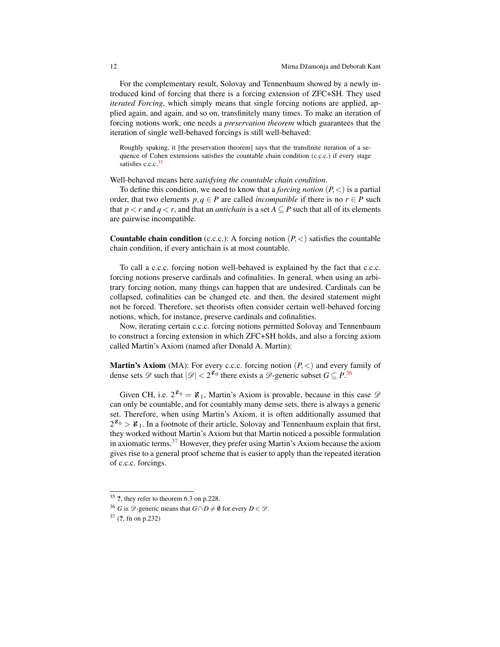For the complementary result, Solovay and Tennenbaum showed by a newly introduced kind of forcing that there is a forcing extension of ZFC+SH. They used *iterated Forcing*, which simply means that single forcing notions are applied, applied again, and again, and so on, transfinitely many times. To make an iteration of forcing notions work, one needs a *preservation theorem* which guarantees that the iteration of single well-behaved forcings is still well-behaved:

Roughly spaking, it [the preservation theorem] says that the transfinite iteration of a sequence of Cohen extensions satisfies the countable chain condition (c.c.c.) if every stage satisfies c.c.c. $35$ 

Well-behaved means here *satisfying the countable chain condition*.

To define this condition, we need to know that a *forcing notion*  $(P, \leq)$  is a partial order, that two elements  $p, q \in P$  are called *incompatible* if there is no  $r \in P$  such that  $p < r$  and  $q < r$ , and that an *antichain* is a set  $A \subseteq P$  such that all of its elements are pairwise incompatible.

**Countable chain condition** (c.c.c.): A forcing notion  $(P, \langle \rangle)$  satisfies the countable chain condition, if every antichain is at most countable.

To call a c.c.c. forcing notion well-behaved is explained by the fact that c.c.c. forcing notions preserve cardinals and cofinalities. In general, when using an arbitrary forcing notion, many things can happen that are undesired. Cardinals can be collapsed, cofinalities can be changed etc. and then, the desired statement might not be forced. Therefore, set theorists often consider certain well-behaved forcing notions, which, for instance, preserve cardinals and cofinalities.

Now, iterating certain c.c.c. forcing notions permitted Solovay and Tennenbaum to construct a forcing extension in which ZFC+SH holds, and also a forcing axiom called Martin's Axiom (named after Donald A. Martin):

**Martin's Axiom** (MA): For every c.c.c. forcing notion  $(P, \le)$  and every family of dense sets  $\mathscr{D}$  such that  $|\mathscr{D}| < 2^{\aleph_0}$  there exists a  $\mathscr{D}$ -generic subset  $G \subseteq P$ .<sup>[36](#page-11-1)</sup>

Given CH, i.e.  $2^{\mathbf{x}_0} = \mathbf{x}_1$ , Martin's Axiom is provable, because in this case  $\mathscr{D}$ can only be countable, and for countably many dense sets, there is always a generic set. Therefore, when using Martin's Axiom, it is often additionally assumed that  $2^{\mathbf{x}_0} > \mathbf{x}_1$ . In a footnote of their article, Solovay and Tennenbaum explain that first, they worked without Martin's Axiom but that Martin noticed a possible formulation in axiomatic terms. $37$  However, they prefer using Martin's Axiom because the axiom gives rise to a general proof scheme that is easier to apply than the repeated iteration of c.c.c. forcings.

<span id="page-11-0"></span><sup>35</sup> ?, they refer to theorem 6.3 on p.228.

<span id="page-11-1"></span><sup>&</sup>lt;sup>36</sup> *G* is  $\mathscr{D}$ -generic means that  $G \cap D \neq \emptyset$  for every  $D \in \mathscr{D}$ .

<span id="page-11-2"></span> $37$  (?, fn on p.232)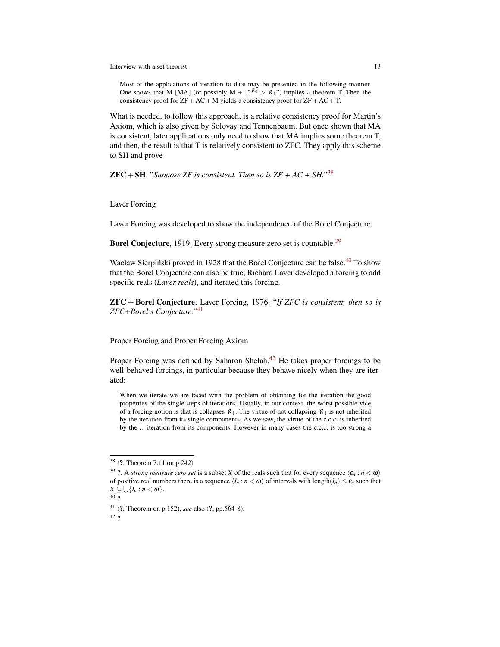Most of the applications of iteration to date may be presented in the following manner. One shows that M [MA] (or possibly  $M + "2^{\aleph_0} > \aleph_1"$ ) implies a theorem T. Then the consistency proof for  $ZF + AC + M$  yields a consistency proof for  $ZF + AC + T$ .

What is needed, to follow this approach, is a relative consistency proof for Martin's Axiom, which is also given by Solovay and Tennenbaum. But once shown that MA is consistent, later applications only need to show that MA implies some theorem T, and then, the result is that T is relatively consistent to ZFC. They apply this scheme to SH and prove

**ZFC** + **SH**: "Suppose ZF is consistent. Then so is ZF + AC + SH." $^{38}$  $^{38}$  $^{38}$ 

Laver Forcing

Laver Forcing was developed to show the independence of the Borel Conjecture.

Borel Conjecture, 1919: Every strong measure zero set is countable.<sup>[39](#page-12-1)</sup>

Wacław Sierpiński proved in 1928 that the Borel Conjecture can be false.<sup>[40](#page-12-2)</sup> To show that the Borel Conjecture can also be true, Richard Laver developed a forcing to add specific reals (*Laver reals*), and iterated this forcing.

ZFC + Borel Conjecture, Laver Forcing, 1976: "*If ZFC is consistent, then so is ZFC+Borel's Conjecture.*" [41](#page-12-3)

Proper Forcing and Proper Forcing Axiom

Proper Forcing was defined by Saharon Shelah.<sup>[42](#page-12-4)</sup> He takes proper forcings to be well-behaved forcings, in particular because they behave nicely when they are iterated:

When we iterate we are faced with the problem of obtaining for the iteration the good properties of the single steps of iterations. Usually, in our context, the worst possible vice of a forcing notion is that is collapses  $\mathbf{x}_1$ . The virtue of not collapsing  $\mathbf{x}_1$  is not inherited by the iteration from its single components. As we saw, the virtue of the c.c.c. is inherited by the ... iteration from its components. However in many cases the c.c.c. is too strong a

<span id="page-12-0"></span><sup>38</sup> (?, Theorem 7.11 on p.242)

<span id="page-12-1"></span><sup>&</sup>lt;sup>39</sup> ?. A *strong measure zero set* is a subset *X* of the reals such that for every sequence  $\langle \varepsilon_n : n < \omega \rangle$ of positive real numbers there is a sequence  $\langle I_n : n \langle \omega \rangle$  of intervals with length $(I_n) \leq \varepsilon_n$  such that  $X \subseteq \bigcup \{I_n : n < \omega\}.$ 

<span id="page-12-2"></span><sup>40</sup> ?

<span id="page-12-3"></span><sup>41</sup> (?, Theorem on p.152), *see* also (?, pp.564-8).

<span id="page-12-4"></span><sup>42</sup> ?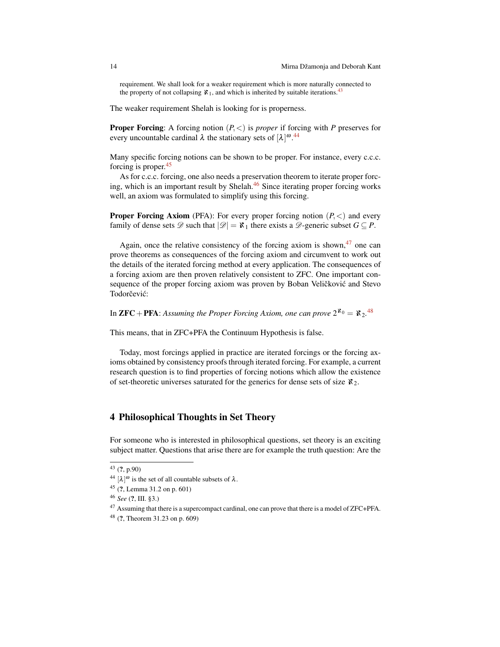requirement. We shall look for a weaker requirement which is more naturally connected to the property of not collapsing  $\mathbf{x}_1$ , and which is inherited by suitable iterations.<sup>[43](#page-13-0)</sup>

The weaker requirement Shelah is looking for is properness.

Proper Forcing: A forcing notion (*P*,<) is *proper* if forcing with *P* preserves for every uncountable cardinal  $\lambda$  the stationary sets of  $[\lambda]^{\omega}$ .<sup>[44](#page-13-1)</sup>

Many specific forcing notions can be shown to be proper. For instance, every c.c.c. forcing is proper.[45](#page-13-2)

As for c.c.c. forcing, one also needs a preservation theorem to iterate proper forc-ing, which is an important result by Shelah.<sup>[46](#page-13-3)</sup> Since iterating proper forcing works well, an axiom was formulated to simplify using this forcing.

**Proper Forcing Axiom** (PFA): For every proper forcing notion  $(P, \leq)$  and every family of dense sets  $\mathscr{D}$  such that  $|\mathscr{D}| = \aleph_1$  there exists a  $\mathscr{D}$ -generic subset  $G \subseteq P$ .

Again, once the relative consistency of the forcing axiom is shown,  $47$  one can prove theorems as consequences of the forcing axiom and circumvent to work out the details of the iterated forcing method at every application. The consequences of a forcing axiom are then proven relatively consistent to ZFC. One important consequence of the proper forcing axiom was proven by Boban Veličković and Stevo Todorčević:

In  $\text{ZFC} + \text{PFA}:$  Assuming the Proper Forcing Axiom, one can prove  $2^{\aleph_0} = \aleph_2$ .<sup>[48](#page-13-5)</sup>

This means, that in ZFC+PFA the Continuum Hypothesis is false.

Today, most forcings applied in practice are iterated forcings or the forcing axioms obtained by consistency proofs through iterated forcing. For example, a current research question is to find properties of forcing notions which allow the existence of set-theoretic universes saturated for the generics for dense sets of size  $\aleph_2$ .

## 4 Philosophical Thoughts in Set Theory

For someone who is interested in philosophical questions, set theory is an exciting subject matter. Questions that arise there are for example the truth question: Are the

<span id="page-13-0"></span> $43$  (?, p.90)

<span id="page-13-1"></span><sup>&</sup>lt;sup>44</sup>  $[\lambda]^\omega$  is the set of all countable subsets of  $\lambda$ .

<span id="page-13-2"></span><sup>45</sup> (?, Lemma 31.2 on p. 601)

<span id="page-13-3"></span><sup>46</sup> *See* (?, III. §3.)

<span id="page-13-4"></span><sup>&</sup>lt;sup>47</sup> Assuming that there is a supercompact cardinal, one can prove that there is a model of ZFC+PFA.

<span id="page-13-5"></span><sup>48</sup> (?, Theorem 31.23 on p. 609)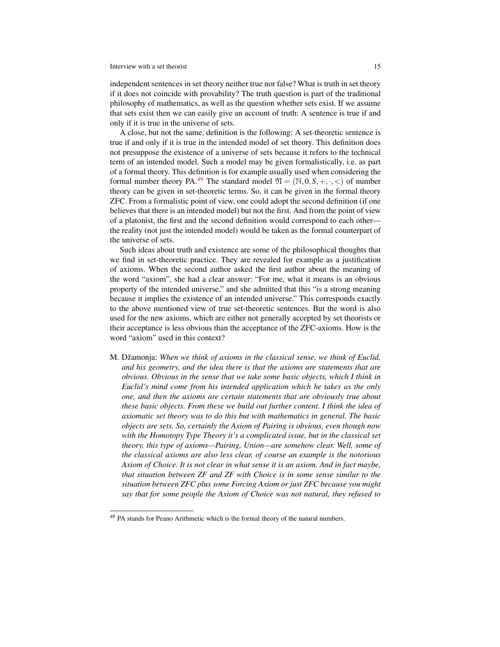independent sentences in set theory neither true nor false? What is truth in set theory if it does not coincide with provability? The truth question is part of the traditional philosophy of mathematics, as well as the question whether sets exist. If we assume that sets exist then we can easily give an account of truth: A sentence is true if and only if it is true in the universe of sets.

A close, but not the same, definition is the following: A set-theoretic sentence is true if and only if it is true in the intended model of set theory. This definition does not presuppose the existence of a universe of sets because it refers to the technical term of an intended model. Such a model may be given formalistically, i.e. as part of a formal theory. This definition is for example usually used when considering the formal number theory PA.<sup>[49](#page-14-0)</sup> The standard model  $\mathfrak{N} = (\mathbb{N}, 0, S, +, \cdot, <)$  of number theory can be given in set-theoretic terms. So, it can be given in the formal theory ZFC. From a formalistic point of view, one could adopt the second definition (if one believes that there is an intended model) but not the first. And from the point of view of a platonist, the first and the second definition would correspond to each other the reality (not just the intended model) would be taken as the formal counterpart of the universe of sets.

Such ideas about truth and existence are some of the philosophical thoughts that we find in set-theoretic practice. They are revealed for example as a justification of axioms. When the second author asked the first author about the meaning of the word "axiom", she had a clear answer: "For me, what it means is an obvious property of the intended universe," and she admitted that this "is a strong meaning because it implies the existence of an intended universe." This corresponds exactly to the above mentioned view of true set-theoretic sentences. But the word is also used for the new axioms, which are either not generally accepted by set theorists or their acceptance is less obvious than the acceptance of the ZFC-axioms. How is the word "axiom" used in this context?

M. Džamonja: *When we think of axioms in the classical sense, we think of Euclid, and his geometry, and the idea there is that the axioms are statements that are obvious. Obvious in the sense that we take some basic objects, which I think in Euclid's mind come from his intended application which he takes as the only one, and then the axioms are certain statements that are obviously true about these basic objects. From these we build out further content. I think the idea of axiomatic set theory was to do this but with mathematics in general. The basic objects are sets. So, certainly the Axiom of Pairing is obvious, even though now with the Homotopy Type Theory it's a complicated issue, but in the classical set theory, this type of axioms—Pairing, Union—are somehow clear. Well, some of the classical axioms are also less clear, of course an example is the notorious Axiom of Choice. It is not clear in what sense it is an axiom. And in fact maybe, that situation between ZF and ZF with Choice is in some sense similar to the situation between ZFC plus some Forcing Axiom or just ZFC because you might say that for some people the Axiom of Choice was not natural, they refused to*

<span id="page-14-0"></span><sup>&</sup>lt;sup>49</sup> PA stands for Peano Arithmetic which is the formal theory of the natural numbers.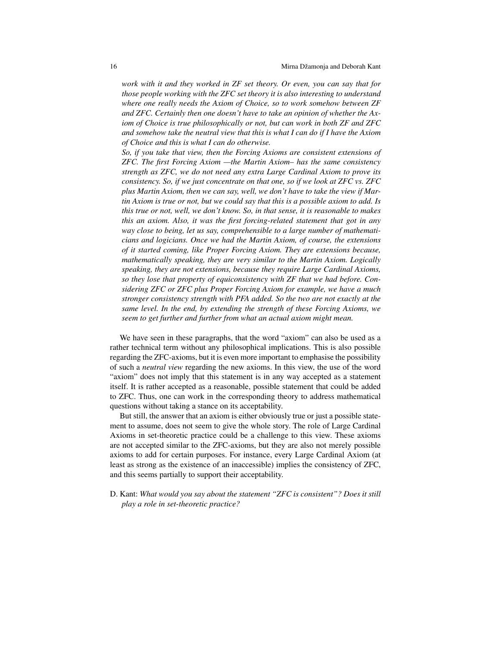*work with it and they worked in ZF set theory. Or even, you can say that for those people working with the ZFC set theory it is also interesting to understand where one really needs the Axiom of Choice, so to work somehow between ZF and ZFC. Certainly then one doesn't have to take an opinion of whether the Axiom of Choice is true philosophically or not, but can work in both ZF and ZFC and somehow take the neutral view that this is what I can do if I have the Axiom of Choice and this is what I can do otherwise.*

*So, if you take that view, then the Forcing Axioms are consistent extensions of ZFC. The first Forcing Axiom —the Martin Axiom– has the same consistency strength as ZFC, we do not need any extra Large Cardinal Axiom to prove its consistency. So, if we just concentrate on that one, so if we look at ZFC vs. ZFC plus Martin Axiom, then we can say, well, we don't have to take the view if Martin Axiom is true or not, but we could say that this is a possible axiom to add. Is this true or not, well, we don't know. So, in that sense, it is reasonable to makes this an axiom. Also, it was the first forcing-related statement that got in any way close to being, let us say, comprehensible to a large number of mathematicians and logicians. Once we had the Martin Axiom, of course, the extensions of it started coming, like Proper Forcing Axiom. They are extensions because, mathematically speaking, they are very similar to the Martin Axiom. Logically speaking, they are not extensions, because they require Large Cardinal Axioms, so they lose that property of equiconsistency with ZF that we had before. Considering ZFC or ZFC plus Proper Forcing Axiom for example, we have a much stronger consistency strength with PFA added. So the two are not exactly at the same level. In the end, by extending the strength of these Forcing Axioms, we seem to get further and further from what an actual axiom might mean.*

We have seen in these paragraphs, that the word "axiom" can also be used as a rather technical term without any philosophical implications. This is also possible regarding the ZFC-axioms, but it is even more important to emphasise the possibility of such a *neutral view* regarding the new axioms. In this view, the use of the word "axiom" does not imply that this statement is in any way accepted as a statement itself. It is rather accepted as a reasonable, possible statement that could be added to ZFC. Thus, one can work in the corresponding theory to address mathematical questions without taking a stance on its acceptability.

But still, the answer that an axiom is either obviously true or just a possible statement to assume, does not seem to give the whole story. The role of Large Cardinal Axioms in set-theoretic practice could be a challenge to this view. These axioms are not accepted similar to the ZFC-axioms, but they are also not merely possible axioms to add for certain purposes. For instance, every Large Cardinal Axiom (at least as strong as the existence of an inaccessible) implies the consistency of ZFC, and this seems partially to support their acceptability.

D. Kant: *What would you say about the statement "ZFC is consistent"? Does it still play a role in set-theoretic practice?*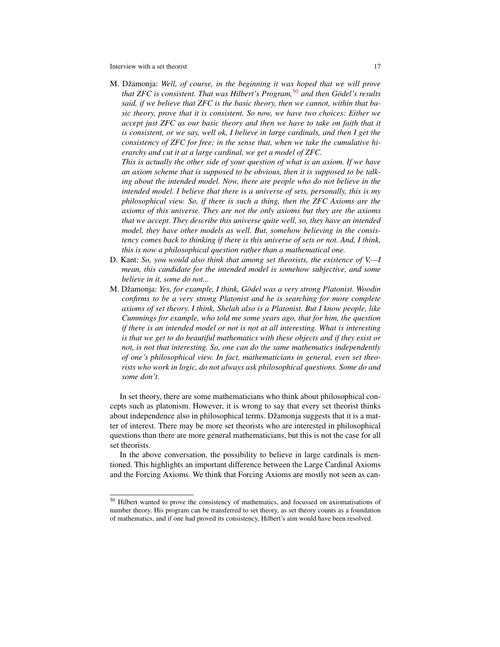M. Džamonja: *Well, of course, in the beginning it was hoped that we will prove that ZFC is consistent. That was Hilbert's Program,*[50](#page-16-0) *and then Gödel's results said, if we believe that ZFC is the basic theory, then we cannot, within that basic theory, prove that it is consistent. So now, we have two choices: Either we accept just ZFC as our basic theory and then we have to take on faith that it is consistent, or we say, well ok, I believe in large cardinals, and then I get the consistency of ZFC for free; in the sense that, when we take the cumulative hierarchy and cut it at a large cardinal, we get a model of ZFC.*

*This is actually the other side of your question of what is an axiom. If we have an axiom scheme that is supposed to be obvious, then it is supposed to be talking about the intended model. Now, there are people who do not believe in the intended model. I believe that there is a universe of sets, personally, this is my philosophical view. So, if there is such a thing, then the ZFC Axioms are the axioms of this universe. They are not the only axioms but they are the axioms that we accept. They describe this universe quite well, so, they have an intended model, they have other models as well. But, somehow believing in the consistency comes back to thinking if there is this universe of sets or not. And, I think, this is now a philosophical question rather than a mathematical one.*

- D. Kant: *So, you would also think that among set theorists, the existence of V,—I mean, this candidate for the intended model is somehow subjective, and some believe in it, some do not...*
- M. Džamonja: *Yes, for example, I think, Gödel was a very strong Platonist. Woodin confirms to be a very strong Platonist and he is searching for more complete axioms of set theory. I think, Shelah also is a Platonist. But I know people, like Cummings for example, who told me some years ago, that for him, the question if there is an intended model or not is not at all interesting. What is interesting is that we get to do beautiful mathematics with these objects and if they exist or not, is not that interesting. So, one can do the same mathematics independently of one's philosophical view. In fact, mathematicians in general, even set theorists who work in logic, do not always ask philosophical questions. Some do and some don't.*

In set theory, there are some mathematicians who think about philosophical concepts such as platonism. However, it is wrong to say that every set theorist thinks about independence also in philosophical terms. Džamonja suggests that it is a matter of interest. There may be more set theorists who are interested in philosophical questions than there are more general mathematicians, but this is not the case for all set theorists.

In the above conversation, the possibility to believe in large cardinals is mentioned. This highlights an important difference between the Large Cardinal Axioms and the Forcing Axioms. We think that Forcing Axioms are mostly not seen as can-

<span id="page-16-0"></span><sup>50</sup> Hilbert wanted to prove the consistency of mathematics, and focussed on axiomatisations of number theory. His program can be transferred to set theory, as set theory counts as a foundation of mathematics, and if one had proved its consistency, Hilbert's aim would have been resolved.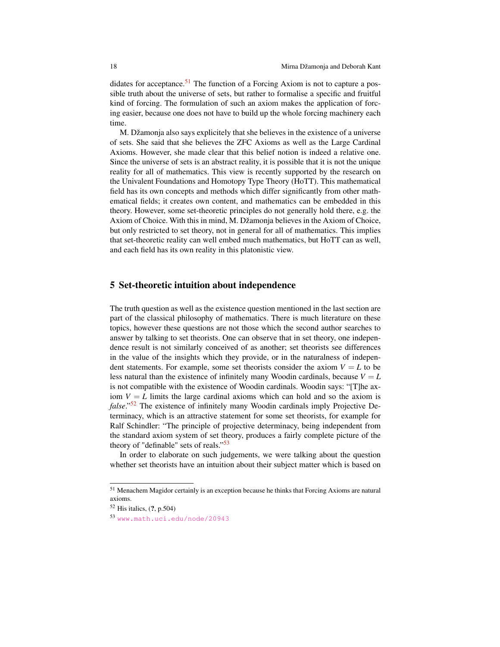didates for acceptance.<sup>[51](#page-17-0)</sup> The function of a Forcing Axiom is not to capture a possible truth about the universe of sets, but rather to formalise a specific and fruitful kind of forcing. The formulation of such an axiom makes the application of forcing easier, because one does not have to build up the whole forcing machinery each time.

M. Džamonja also says explicitely that she believes in the existence of a universe of sets. She said that she believes the ZFC Axioms as well as the Large Cardinal Axioms. However, she made clear that this belief notion is indeed a relative one. Since the universe of sets is an abstract reality, it is possible that it is not the unique reality for all of mathematics. This view is recently supported by the research on the Univalent Foundations and Homotopy Type Theory (HoTT). This mathematical field has its own concepts and methods which differ significantly from other mathematical fields; it creates own content, and mathematics can be embedded in this theory. However, some set-theoretic principles do not generally hold there, e.g. the Axiom of Choice. With this in mind, M. Džamonja believes in the Axiom of Choice, but only restricted to set theory, not in general for all of mathematics. This implies that set-theoretic reality can well embed much mathematics, but HoTT can as well, and each field has its own reality in this platonistic view.

## 5 Set-theoretic intuition about independence

The truth question as well as the existence question mentioned in the last section are part of the classical philosophy of mathematics. There is much literature on these topics, however these questions are not those which the second author searches to answer by talking to set theorists. One can observe that in set theory, one independence result is not similarly conceived of as another; set theorists see differences in the value of the insights which they provide, or in the naturalness of independent statements. For example, some set theorists consider the axiom  $V = L$  to be less natural than the existence of infinitely many Woodin cardinals, because  $V = L$ is not compatible with the existence of Woodin cardinals. Woodin says: "[T]he axiom  $V = L$  limits the large cardinal axioms which can hold and so the axiom is *false*."[52](#page-17-1) The existence of infinitely many Woodin cardinals imply Projective Determinacy, which is an attractive statement for some set theorists, for example for Ralf Schindler: "The principle of projective determinacy, being independent from the standard axiom system of set theory, produces a fairly complete picture of the theory of "definable" sets of reals."<sup>[53](#page-17-2)</sup>

In order to elaborate on such judgements, we were talking about the question whether set theorists have an intuition about their subject matter which is based on

<span id="page-17-0"></span><sup>51</sup> Menachem Magidor certainly is an exception because he thinks that Forcing Axioms are natural axioms.

<span id="page-17-1"></span> $52$  His italics,  $(2, p.504)$ 

<span id="page-17-2"></span><sup>53</sup> <www.math.uci.edu/node/20943>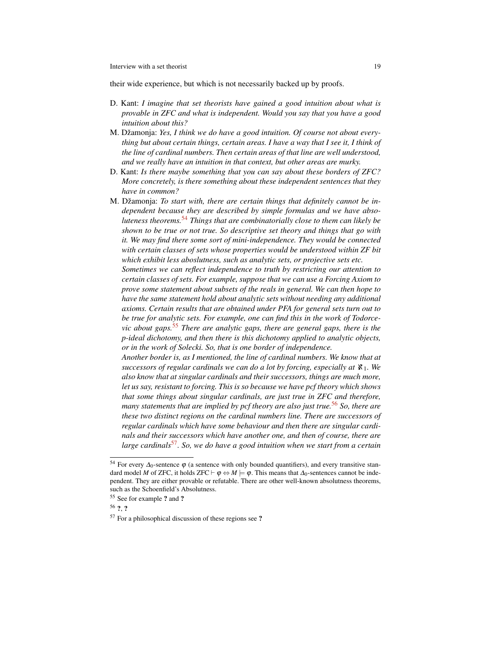their wide experience, but which is not necessarily backed up by proofs.

- D. Kant: *I imagine that set theorists have gained a good intuition about what is provable in ZFC and what is independent. Would you say that you have a good intuition about this?*
- M. Džamonja: *Yes, I think we do have a good intuition. Of course not about everything but about certain things, certain areas. I have a way that I see it, I think of the line of cardinal numbers. Then certain areas of that line are well understood, and we really have an intuition in that context, but other areas are murky.*
- D. Kant: *Is there maybe something that you can say about these borders of ZFC? More concretely, is there something about these independent sentences that they have in common?*
- M. Džamonja: *To start with, there are certain things that definitely cannot be independent because they are described by simple formulas and we have absoluteness theorems.*[54](#page-18-0) *Things that are combinatorially close to them can likely be shown to be true or not true. So descriptive set theory and things that go with it. We may find there some sort of mini-independence. They would be connected with certain classes of sets whose properties would be understood within ZF bit which exhibit less aboslutness, such as analytic sets, or projective sets etc.*

*Sometimes we can reflect independence to truth by restricting our attention to certain classes of sets. For example, suppose that we can use a Forcing Axiom to prove some statement about subsets of the reals in general. We can then hope to have the same statement hold about analytic sets without needing any additional axioms. Certain results that are obtained under PFA for general sets turn out to be true for analytic sets. For example, one can find this in the work of Todorcevic about gaps.*[55](#page-18-1) *There are analytic gaps, there are general gaps, there is the p-ideal dichotomy, and then there is this dichotomy applied to analytic objects, or in the work of Solecki. So, that is one border of independence.*

*Another border is, as I mentioned, the line of cardinal numbers. We know that at successors of regular cardinals we can do a lot by forcing, especially at*  $\mathbf{\tilde{x}}_1$ *. We also know that at singular cardinals and their successors, things are much more, let us say, resistant to forcing. This is so because we have pcf theory which shows that some things about singular cardinals, are just true in ZFC and therefore, many statements that are implied by pcf theory are also just true.*[56](#page-18-2) *So, there are these two distinct regions on the cardinal numbers line. There are successors of regular cardinals which have some behaviour and then there are singular cardinals and their successors which have another one, and then of course, there are large cardinals*[57](#page-18-3)*. So, we do have a good intuition when we start from a certain*

<span id="page-18-0"></span><sup>&</sup>lt;sup>54</sup> For every  $\Delta_0$ -sentence  $\varphi$  (a sentence with only bounded quantifiers), and every transitive standard model *M* of ZFC, it holds ZFC  $\vdash \varphi \Leftrightarrow M \models \varphi$ . This means that  $\Delta_0$ -sentences cannot be independent. They are either provable or refutable. There are other well-known absolutness theorems, such as the Schoenfield's Absolutness.

<span id="page-18-1"></span><sup>55</sup> See for example ? and ?

<span id="page-18-2"></span><sup>56</sup> ?, ?

<span id="page-18-3"></span><sup>57</sup> For a philosophical discussion of these regions see ?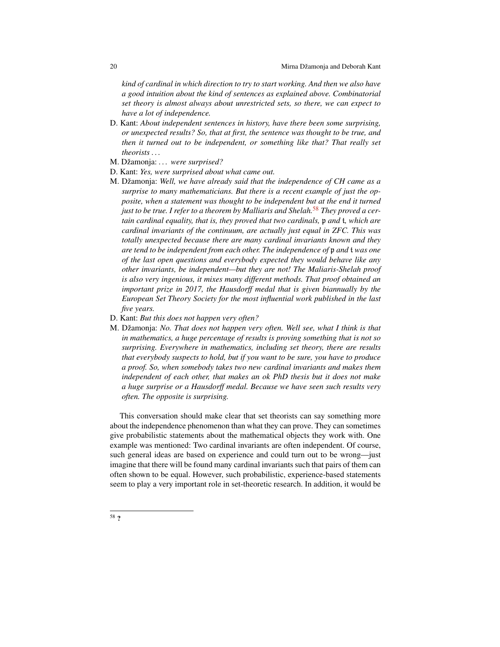*kind of cardinal in which direction to try to start working. And then we also have a good intuition about the kind of sentences as explained above. Combinatorial set theory is almost always about unrestricted sets, so there, we can expect to have a lot of independence.*

- D. Kant: *About independent sentences in history, have there been some surprising, or unexpected results? So, that at first, the sentence was thought to be true, and then it turned out to be independent, or something like that? That really set theorists . . .*
- M. Džamonja: *. . . were surprised?*
- D. Kant: *Yes, were surprised about what came out.*
- M. Džamonja: *Well, we have already said that the independence of CH came as a surprise to many mathematicians. But there is a recent example of just the opposite, when a statement was thought to be independent but at the end it turned just to be true. I refer to a theorem by Malliaris and Shelah.*[58](#page-19-0) *They proved a certain cardinal equality, that is, they proved that two cardinals,* p *and* t*, which are cardinal invariants of the continuum, are actually just equal in ZFC. This was totally unexpected because there are many cardinal invariants known and they are tend to be independent from each other. The independence of* p *and* t *was one of the last open questions and everybody expected they would behave like any other invariants, be independent—but they are not! The Maliaris-Shelah proof is also very ingenious, it mixes many different methods. That proof obtained an important prize in 2017, the Hausdorff medal that is given biannually by the European Set Theory Society for the most influential work published in the last five years.*
- D. Kant: *But this does not happen very often?*
- M. Džamonja: *No. That does not happen very often. Well see, what I think is that in mathematics, a huge percentage of results is proving something that is not so surprising. Everywhere in mathematics, including set theory, there are results that everybody suspects to hold, but if you want to be sure, you have to produce a proof. So, when somebody takes two new cardinal invariants and makes them independent of each other, that makes an ok PhD thesis but it does not make a huge surprise or a Hausdorff medal. Because we have seen such results very often. The opposite is surprising.*

<span id="page-19-0"></span>This conversation should make clear that set theorists can say something more about the independence phenomenon than what they can prove. They can sometimes give probabilistic statements about the mathematical objects they work with. One example was mentioned: Two cardinal invariants are often independent. Of course, such general ideas are based on experience and could turn out to be wrong—just imagine that there will be found many cardinal invariants such that pairs of them can often shown to be equal. However, such probabilistic, experience-based statements seem to play a very important role in set-theoretic research. In addition, it would be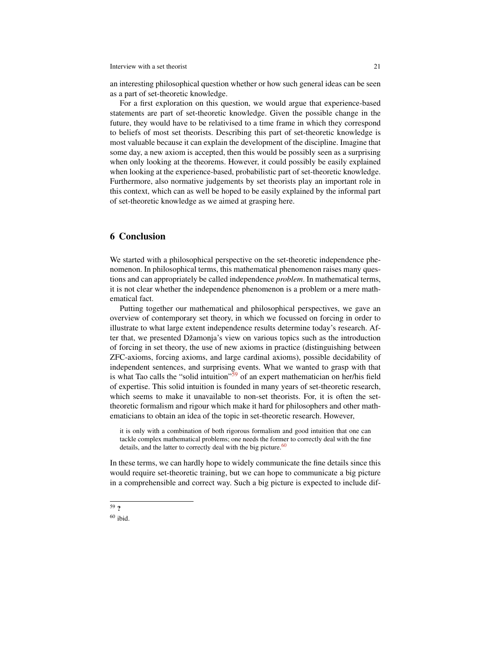an interesting philosophical question whether or how such general ideas can be seen as a part of set-theoretic knowledge.

For a first exploration on this question, we would argue that experience-based statements are part of set-theoretic knowledge. Given the possible change in the future, they would have to be relativised to a time frame in which they correspond to beliefs of most set theorists. Describing this part of set-theoretic knowledge is most valuable because it can explain the development of the discipline. Imagine that some day, a new axiom is accepted, then this would be possibly seen as a surprising when only looking at the theorems. However, it could possibly be easily explained when looking at the experience-based, probabilistic part of set-theoretic knowledge. Furthermore, also normative judgements by set theorists play an important role in this context, which can as well be hoped to be easily explained by the informal part of set-theoretic knowledge as we aimed at grasping here.

### 6 Conclusion

We started with a philosophical perspective on the set-theoretic independence phenomenon. In philosophical terms, this mathematical phenomenon raises many questions and can appropriately be called independence *problem*. In mathematical terms, it is not clear whether the independence phenomenon is a problem or a mere mathematical fact.

Putting together our mathematical and philosophical perspectives, we gave an overview of contemporary set theory, in which we focussed on forcing in order to illustrate to what large extent independence results determine today's research. After that, we presented Džamonja's view on various topics such as the introduction of forcing in set theory, the use of new axioms in practice (distinguishing between ZFC-axioms, forcing axioms, and large cardinal axioms), possible decidability of independent sentences, and surprising events. What we wanted to grasp with that is what Tao calls the "solid intuition"<sup>[59](#page-20-0)</sup> of an expert mathematician on her/his field of expertise. This solid intuition is founded in many years of set-theoretic research, which seems to make it unavailable to non-set theorists. For, it is often the settheoretic formalism and rigour which make it hard for philosophers and other mathematicians to obtain an idea of the topic in set-theoretic research. However,

it is only with a combination of both rigorous formalism and good intuition that one can tackle complex mathematical problems; one needs the former to correctly deal with the fine details, and the latter to correctly deal with the big picture. $60$ 

In these terms, we can hardly hope to widely communicate the fine details since this would require set-theoretic training, but we can hope to communicate a big picture in a comprehensible and correct way. Such a big picture is expected to include dif-

## <span id="page-20-0"></span>59 $\Omega$

<span id="page-20-1"></span> $60$  ibid.